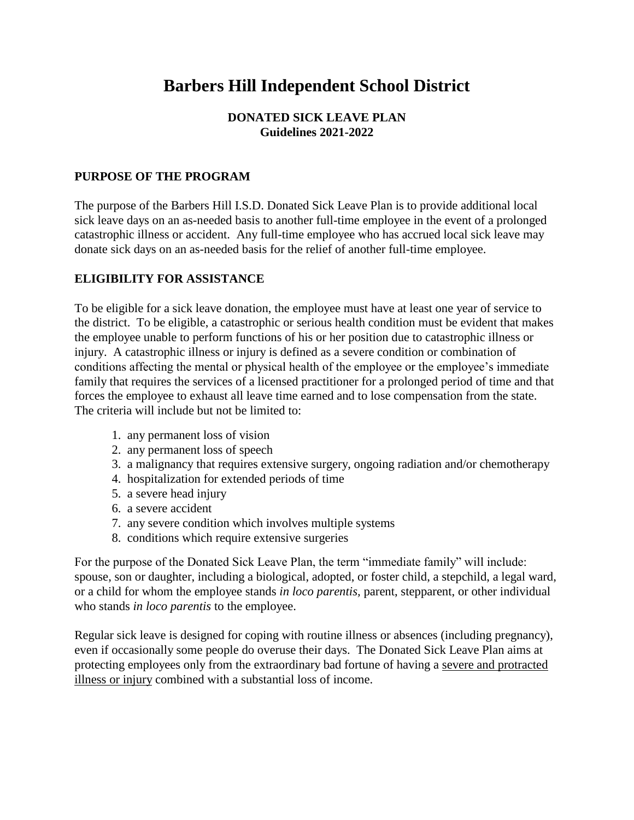# **Barbers Hill Independent School District**

## **DONATED SICK LEAVE PLAN Guidelines 2021-2022**

#### **PURPOSE OF THE PROGRAM**

The purpose of the Barbers Hill I.S.D. Donated Sick Leave Plan is to provide additional local sick leave days on an as-needed basis to another full-time employee in the event of a prolonged catastrophic illness or accident. Any full-time employee who has accrued local sick leave may donate sick days on an as-needed basis for the relief of another full-time employee.

#### **ELIGIBILITY FOR ASSISTANCE**

To be eligible for a sick leave donation, the employee must have at least one year of service to the district. To be eligible, a catastrophic or serious health condition must be evident that makes the employee unable to perform functions of his or her position due to catastrophic illness or injury. A catastrophic illness or injury is defined as a severe condition or combination of conditions affecting the mental or physical health of the employee or the employee's immediate family that requires the services of a licensed practitioner for a prolonged period of time and that forces the employee to exhaust all leave time earned and to lose compensation from the state. The criteria will include but not be limited to:

- 1. any permanent loss of vision
- 2. any permanent loss of speech
- 3. a malignancy that requires extensive surgery, ongoing radiation and/or chemotherapy
- 4. hospitalization for extended periods of time
- 5. a severe head injury
- 6. a severe accident
- 7. any severe condition which involves multiple systems
- 8. conditions which require extensive surgeries

For the purpose of the Donated Sick Leave Plan, the term "immediate family" will include: spouse, son or daughter, including a biological, adopted, or foster child, a stepchild, a legal ward, or a child for whom the employee stands *in loco parentis,* parent, stepparent, or other individual who stands *in loco parentis* to the employee.

Regular sick leave is designed for coping with routine illness or absences (including pregnancy), even if occasionally some people do overuse their days. The Donated Sick Leave Plan aims at protecting employees only from the extraordinary bad fortune of having a severe and protracted illness or injury combined with a substantial loss of income.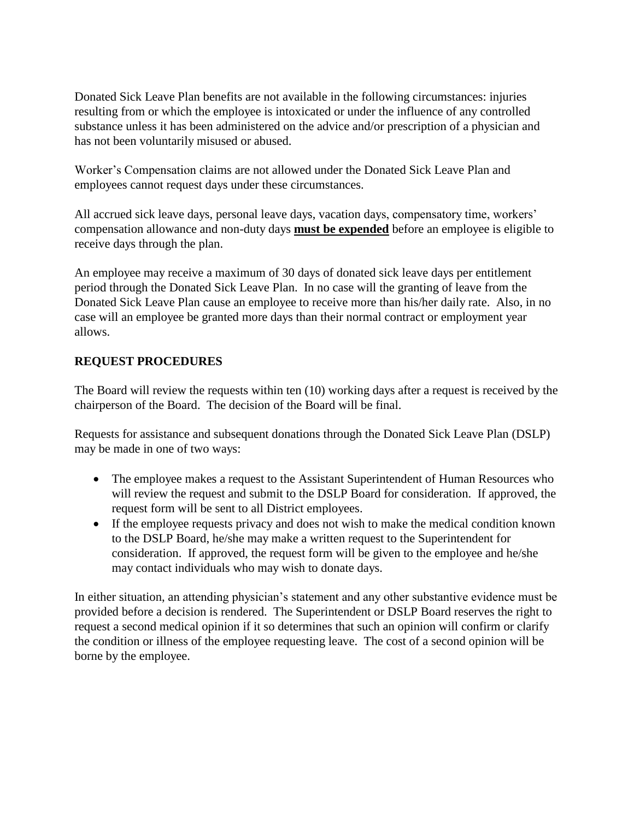Donated Sick Leave Plan benefits are not available in the following circumstances: injuries resulting from or which the employee is intoxicated or under the influence of any controlled substance unless it has been administered on the advice and/or prescription of a physician and has not been voluntarily misused or abused.

Worker's Compensation claims are not allowed under the Donated Sick Leave Plan and employees cannot request days under these circumstances.

All accrued sick leave days, personal leave days, vacation days, compensatory time, workers' compensation allowance and non-duty days **must be expended** before an employee is eligible to receive days through the plan.

An employee may receive a maximum of 30 days of donated sick leave days per entitlement period through the Donated Sick Leave Plan. In no case will the granting of leave from the Donated Sick Leave Plan cause an employee to receive more than his/her daily rate. Also, in no case will an employee be granted more days than their normal contract or employment year allows.

## **REQUEST PROCEDURES**

The Board will review the requests within ten (10) working days after a request is received by the chairperson of the Board. The decision of the Board will be final.

Requests for assistance and subsequent donations through the Donated Sick Leave Plan (DSLP) may be made in one of two ways:

- The employee makes a request to the Assistant Superintendent of Human Resources who will review the request and submit to the DSLP Board for consideration. If approved, the request form will be sent to all District employees.
- If the employee requests privacy and does not wish to make the medical condition known to the DSLP Board, he/she may make a written request to the Superintendent for consideration. If approved, the request form will be given to the employee and he/she may contact individuals who may wish to donate days.

In either situation, an attending physician's statement and any other substantive evidence must be provided before a decision is rendered. The Superintendent or DSLP Board reserves the right to request a second medical opinion if it so determines that such an opinion will confirm or clarify the condition or illness of the employee requesting leave. The cost of a second opinion will be borne by the employee.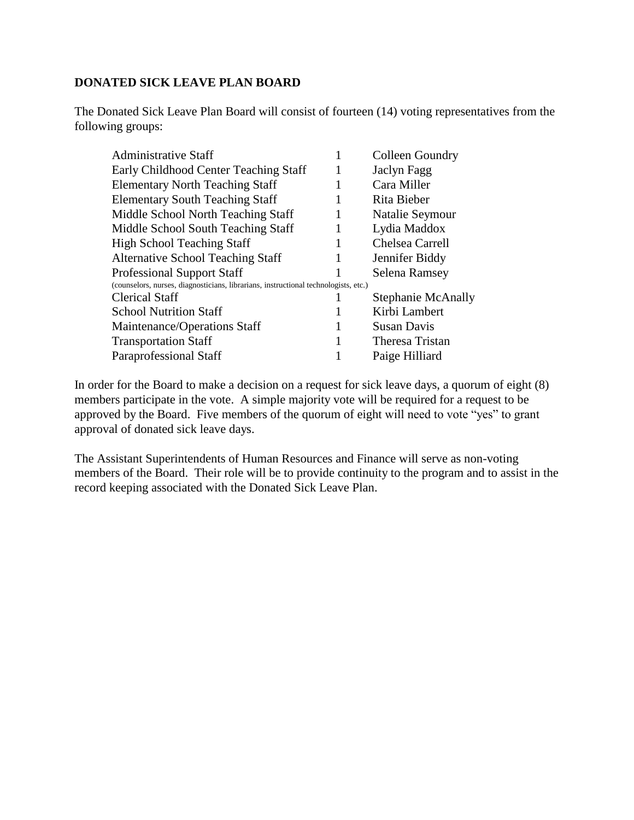#### **DONATED SICK LEAVE PLAN BOARD**

The Donated Sick Leave Plan Board will consist of fourteen (14) voting representatives from the following groups:

| <b>Administrative Staff</b>                                                         |   | Colleen Goundry           |
|-------------------------------------------------------------------------------------|---|---------------------------|
| Early Childhood Center Teaching Staff                                               | 1 | Jaclyn Fagg               |
| <b>Elementary North Teaching Staff</b>                                              |   | Cara Miller               |
| <b>Elementary South Teaching Staff</b>                                              | 1 | Rita Bieber               |
| Middle School North Teaching Staff                                                  |   | Natalie Seymour           |
| Middle School South Teaching Staff                                                  |   | Lydia Maddox              |
| <b>High School Teaching Staff</b>                                                   |   | Chelsea Carrell           |
| <b>Alternative School Teaching Staff</b>                                            | 1 | Jennifer Biddy            |
| <b>Professional Support Staff</b>                                                   |   | Selena Ramsey             |
| (counselors, nurses, diagnosticians, librarians, instructional technologists, etc.) |   |                           |
| <b>Clerical Staff</b>                                                               |   | <b>Stephanie McAnally</b> |
| <b>School Nutrition Staff</b>                                                       |   | Kirbi Lambert             |
| Maintenance/Operations Staff                                                        | 1 | <b>Susan Davis</b>        |
| <b>Transportation Staff</b>                                                         |   | Theresa Tristan           |
| Paraprofessional Staff                                                              |   | Paige Hilliard            |

In order for the Board to make a decision on a request for sick leave days, a quorum of eight (8) members participate in the vote. A simple majority vote will be required for a request to be approved by the Board. Five members of the quorum of eight will need to vote "yes" to grant approval of donated sick leave days.

The Assistant Superintendents of Human Resources and Finance will serve as non-voting members of the Board. Their role will be to provide continuity to the program and to assist in the record keeping associated with the Donated Sick Leave Plan.